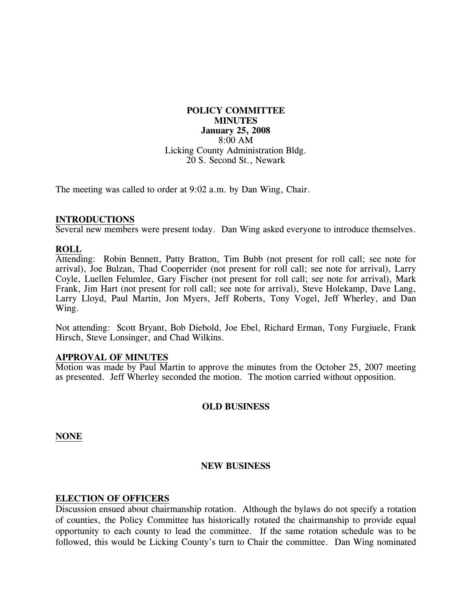# **POLICY COMMITTEE MINUTES January 25, 2008**  8:00 AM Licking County Administration Bldg. 20 S. Second St., Newark

The meeting was called to order at 9:02 a.m. by Dan Wing, Chair.

#### **INTRODUCTIONS**

Several new members were present today. Dan Wing asked everyone to introduce themselves.

## **ROLL**

Attending: Robin Bennett, Patty Bratton, Tim Bubb (not present for roll call; see note for arrival), Joe Bulzan, Thad Cooperrider (not present for roll call; see note for arrival), Larry Coyle, Luellen Felumlee, Gary Fischer (not present for roll call; see note for arrival), Mark Frank, Jim Hart (not present for roll call; see note for arrival), Steve Holekamp, Dave Lang, Larry Lloyd, Paul Martin, Jon Myers, Jeff Roberts, Tony Vogel, Jeff Wherley, and Dan Wing.

Not attending: Scott Bryant, Bob Diebold, Joe Ebel, Richard Erman, Tony Furgiuele, Frank Hirsch, Steve Lonsinger, and Chad Wilkins.

#### **APPROVAL OF MINUTES**

Motion was made by Paul Martin to approve the minutes from the October 25, 2007 meeting as presented. Jeff Wherley seconded the motion. The motion carried without opposition.

## **OLD BUSINESS**

**NONE**

#### **NEW BUSINESS**

#### **ELECTION OF OFFICERS**

Discussion ensued about chairmanship rotation. Although the bylaws do not specify a rotation of counties, the Policy Committee has historically rotated the chairmanship to provide equal opportunity to each county to lead the committee. If the same rotation schedule was to be followed, this would be Licking County's turn to Chair the committee. Dan Wing nominated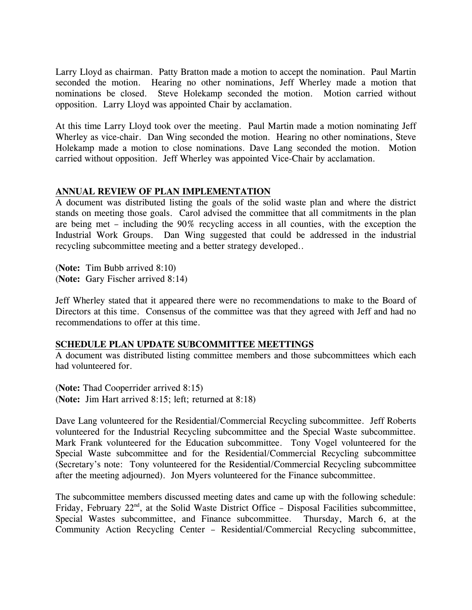Larry Lloyd as chairman. Patty Bratton made a motion to accept the nomination. Paul Martin seconded the motion. Hearing no other nominations, Jeff Wherley made a motion that nominations be closed. Steve Holekamp seconded the motion. Motion carried without opposition. Larry Lloyd was appointed Chair by acclamation.

At this time Larry Lloyd took over the meeting. Paul Martin made a motion nominating Jeff Wherley as vice-chair. Dan Wing seconded the motion. Hearing no other nominations, Steve Holekamp made a motion to close nominations. Dave Lang seconded the motion. Motion carried without opposition. Jeff Wherley was appointed Vice-Chair by acclamation.

# **ANNUAL REVIEW OF PLAN IMPLEMENTATION**

A document was distributed listing the goals of the solid waste plan and where the district stands on meeting those goals. Carol advised the committee that all commitments in the plan are being met – including the 90% recycling access in all counties, with the exception the Industrial Work Groups. Dan Wing suggested that could be addressed in the industrial recycling subcommittee meeting and a better strategy developed..

(**Note:** Tim Bubb arrived 8:10) (**Note:** Gary Fischer arrived 8:14)

Jeff Wherley stated that it appeared there were no recommendations to make to the Board of Directors at this time. Consensus of the committee was that they agreed with Jeff and had no recommendations to offer at this time.

## **SCHEDULE PLAN UPDATE SUBCOMMITTEE MEETTINGS**

A document was distributed listing committee members and those subcommittees which each had volunteered for.

(**Note:** Thad Cooperrider arrived 8:15) (**Note:** Jim Hart arrived 8:15; left; returned at 8:18)

Dave Lang volunteered for the Residential/Commercial Recycling subcommittee. Jeff Roberts volunteered for the Industrial Recycling subcommittee and the Special Waste subcommittee. Mark Frank volunteered for the Education subcommittee. Tony Vogel volunteered for the Special Waste subcommittee and for the Residential/Commercial Recycling subcommittee (Secretary's note: Tony volunteered for the Residential/Commercial Recycling subcommittee after the meeting adjourned). Jon Myers volunteered for the Finance subcommittee.

The subcommittee members discussed meeting dates and came up with the following schedule: Friday, February  $22<sup>nd</sup>$ , at the Solid Waste District Office – Disposal Facilities subcommittee, Special Wastes subcommittee, and Finance subcommittee. Thursday, March 6, at the Community Action Recycling Center – Residential/Commercial Recycling subcommittee,